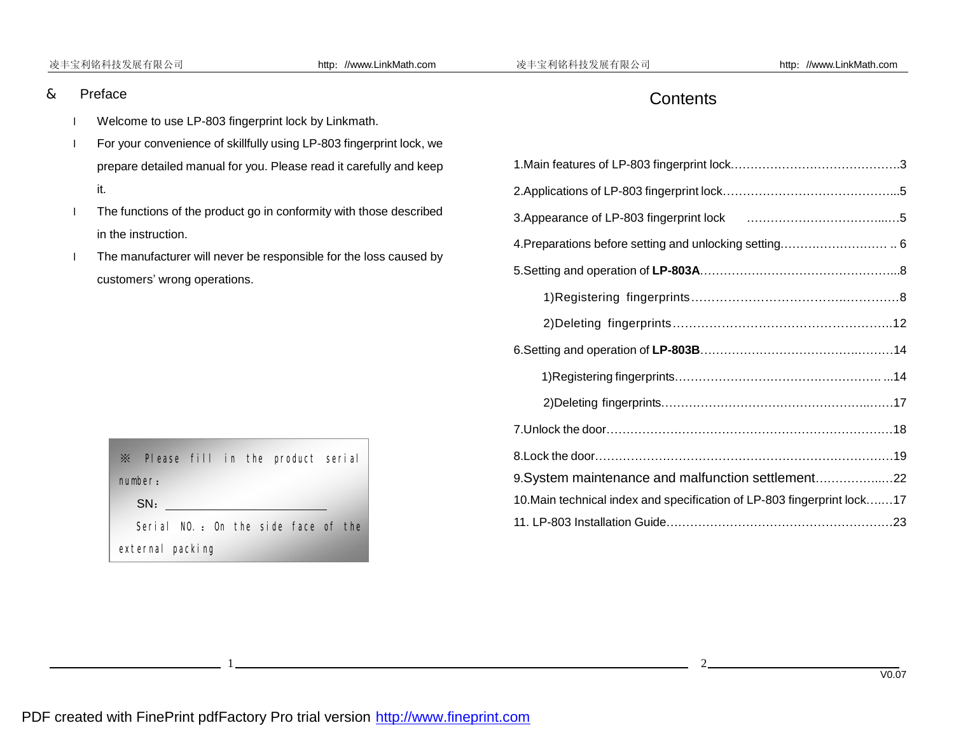#### 凌丰宝利铭科技发展有限公司 http://www.LinkMath.com 凌丰宝利铭科技发展有限公司 http://www.LinkMath.com

### & Preface

l

- l Welcome to use LP-803 fingerprint lock by Linkmath.
- l For your convenience of skillfully using LP-803 fingerprint lock, we prepare detailed manual for you. Please read it carefully and keep it.
- I The functions of the product go in conformity with those described in the instruction.
- I The manufacturer will never be responsible for the loss caused by customers' wrong operations.

| $\mathbb X$ Please fill in the product serial |  |  |  |  |
|-----------------------------------------------|--|--|--|--|
| rumber:                                       |  |  |  |  |
| SN:                                           |  |  |  |  |
| Serial NO: On the side face of the            |  |  |  |  |
| external packing                              |  |  |  |  |

# **Contents**

| 9. System maintenance and malfunction settlement 22                      |  |  |  |
|--------------------------------------------------------------------------|--|--|--|
| 10. Main technical index and specification of LP-803 fingerprint lock 17 |  |  |  |
|                                                                          |  |  |  |

1<sup>1</sup>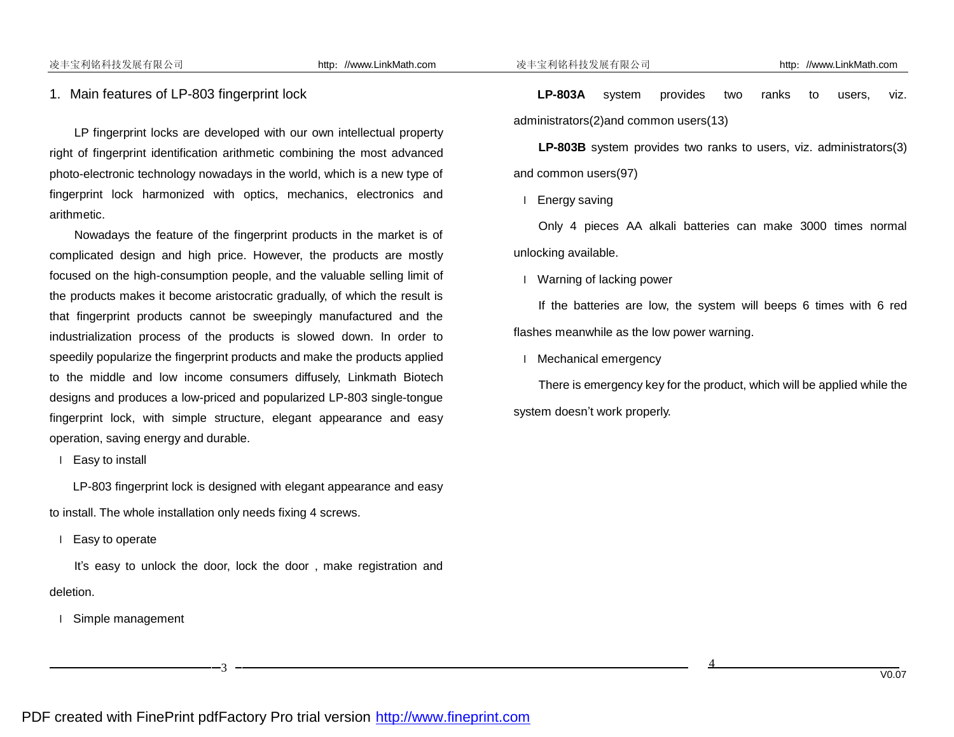#### 1. Main features of LP-803 fingerprint lock

LP fingerprint locks are developed with our own intellectual property right of fingerprint identification arithmetic combining the most advanced photo-electronic technology nowadays in the world, which is a new type of fingerprint lock harmonized with optics, mechanics, electronics and arithmetic.

Nowadays the feature of the fingerprint products in the market is of complicated design and high price. However, the products are mostly focused on the high-consumption people, and the valuable selling limit of the products makes it become aristocratic gradually, of which the result is that fingerprint products cannot be sweepingly manufactured and the industrialization process of the products is slowed down. In order to speedily popularize the fingerprint products and make the products applied to the middle and low income consumers diffusely, Linkmath Biotech designs and produces a low-priced and popularized LP-803 single-tongue fingerprint lock, with simple structure, elegant appearance and easy operation, saving energy and durable.

l Easy to install

LP-803 fingerprint lock is designed with elegant appearance and easy to install. The whole installation only needs fixing 4 screws.

l Easy to operate

It's easy to unlock the door, lock the door , make registration and deletion.

l Simple management

l

**LP-803A** system provides two ranks to users, viz. administrators(2)and common users(13)

**LP-803B** system provides two ranks to users, viz. administrators(3) and common users(97)

l Energy saving

Only 4 pieces AA alkali batteries can make 3000 times normal unlocking available.

l Warning of lacking power

If the batteries are low, the system will beeps 6 times with 6 red flashes meanwhile as the low power warning.

l Mechanical emergency

There is emergency key for the product, which will be applied while the system doesn't work properly.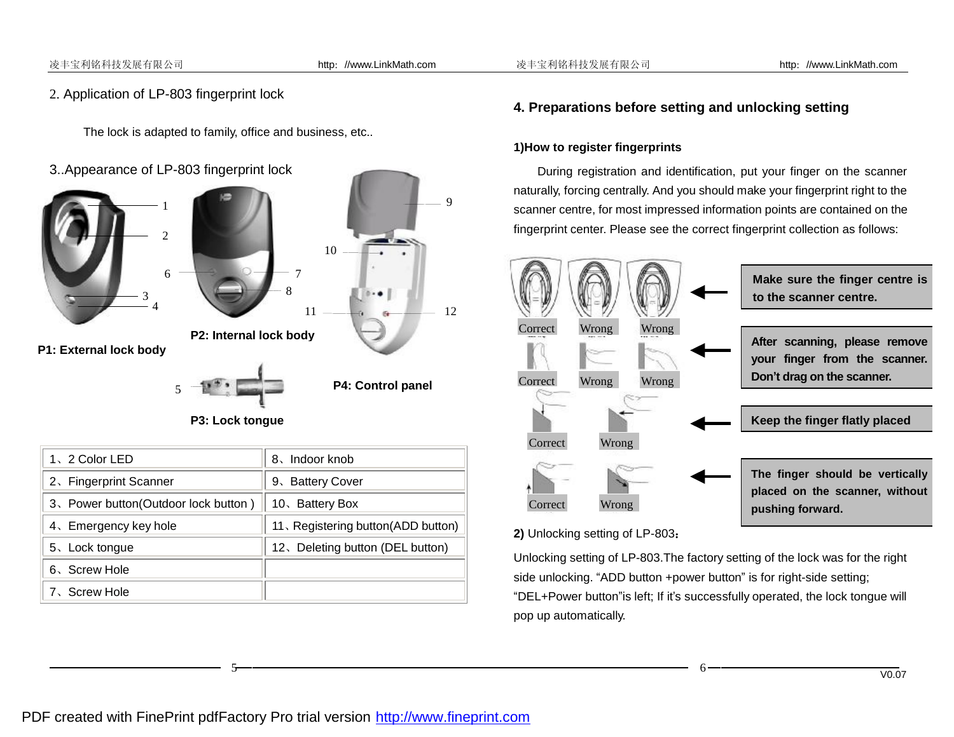#### 凌丰宝利铭科技发展有限公司 http://www.LinkMath.com 凌丰宝利铭科技发展有限公司 http://www.LinkMath.com

l

# 2. Application of LP-803 fingerprint lock

The lock is adapted to family, office and business, etc..





**P3: Lock tongue**

| 1、2 Color LED                         | 8. Indoor knob                     |
|---------------------------------------|------------------------------------|
| 2. Fingerprint Scanner                | 9、Battery Cover                    |
| 3. Power button (Outdoor lock button) | 10. Battery Box                    |
| 4. Emergency key hole                 | 11, Registering button(ADD button) |
| 5、Lock tongue                         | 12. Deleting button (DEL button)   |
| 6、Screw Hole                          |                                    |
| 7、Screw Hole                          |                                    |

5

# **4. Preparations before setting and unlocking setting**

#### **1)How to register fingerprints**

During registration and identification, put your finger on the scanner naturally, forcing centrally. And you should make your fingerprint right to the scanner centre, for most impressed information points are contained on the fingerprint center. Please see the correct fingerprint collection as follows:



### **2)** Unlocking setting of LP-803**:**

Unlocking setting of LP-803.The factory setting of the lock was for the right side unlocking. "ADD button +power button" is for right-side setting; "DEL+Power button"is left; If it's successfully operated, the lock tongue will pop up automatically.

6

# PDF created with FinePrint pdfFactory Pro trial version <http://www.fineprint.com>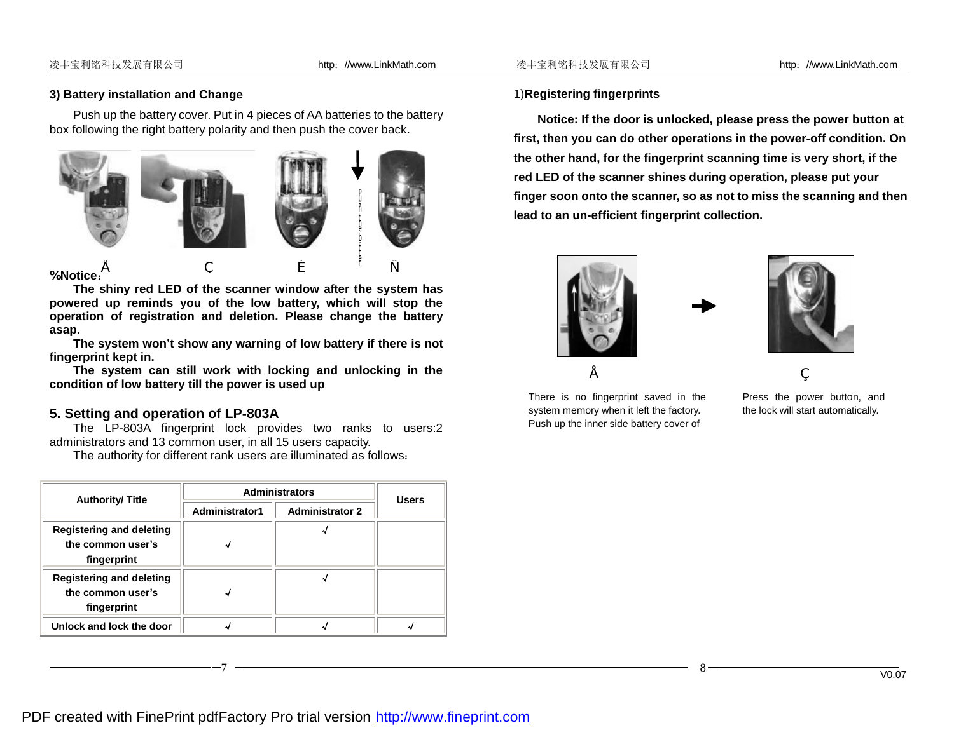#### **3) Battery installation and Change**

Push up the battery cover. Put in 4 pieces of AA batteries to the battery box following the right battery polarity and then push the cover back.



#### **%Notice:**

l

**The shiny red LED of the scanner window after the system has powered up reminds you of the low battery, which will stop the operation of registration and deletion. Please change the battery asap.** 

**The system won't show any warning of low battery if there is not fingerprint kept in.** 

**The system can still work with locking and unlocking in the condition of low battery till the power is used up** 

### **5. Setting and operation of LP-803A**

The LP-803A fingerprint lock provides two ranks to users:2 administrators and 13 common user, in all 15 users capacity.

The authority for different rank users are illuminated as follows:

| <b>Authority/Title</b>                                              | <b>Administrators</b> | <b>Users</b>           |  |
|---------------------------------------------------------------------|-----------------------|------------------------|--|
|                                                                     | Administrator1        | <b>Administrator 2</b> |  |
| <b>Registering and deleting</b><br>the common user's<br>fingerprint |                       |                        |  |
| <b>Registering and deleting</b><br>the common user's<br>fingerprint |                       |                        |  |
| Unlock and lock the door                                            |                       |                        |  |

#### 1)**Registering fingerprints**

**Notice: If the door is unlocked, please press the power button at first, then you can do other operations in the power-off condition. On the other hand, for the fingerprint scanning time is very short, if the red LED of the scanner shines during operation, please put your finger soon onto the scanner, so as not to miss the scanning and then lead to an un-efficient fingerprint collection.** 



There is no fingerprint saved in the system memory when it left the factory. Push up the inner side battery cover of



Press the power button, and the lock will start automatically.

7 8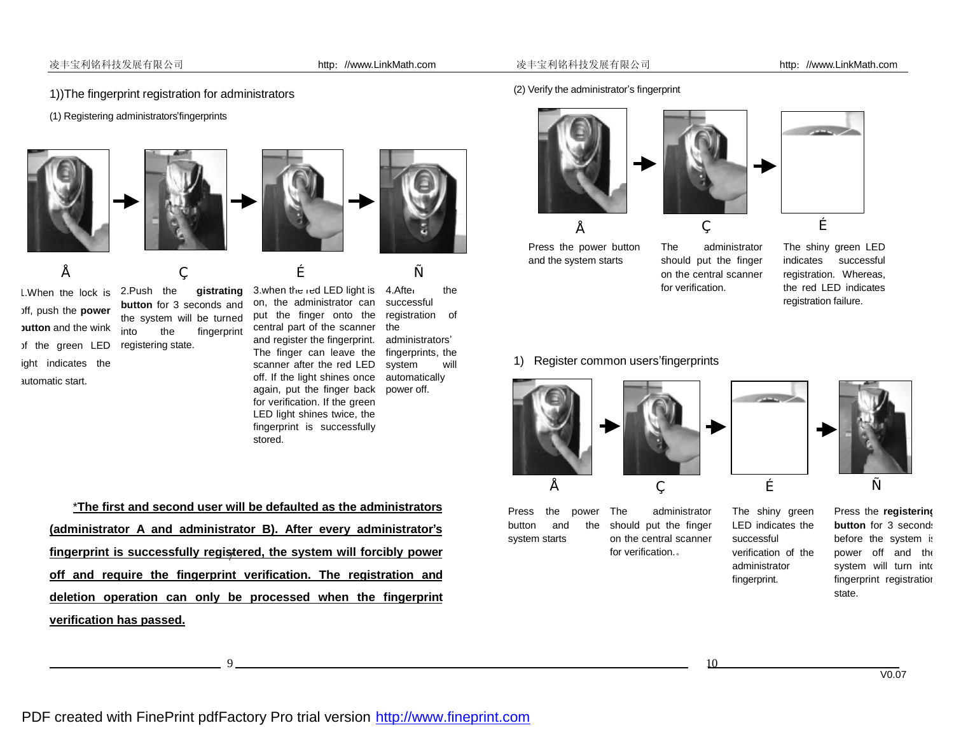#### 凌丰宝利铭科技发展有限公司 http://www.LinkMath.com 凌丰宝利铭科技发展有限公司 http://www.LinkMath.com

- 1))The fingerprint registration for administrators
- (1) Registering administrators'fingerprints









off, push the **power button** and the wink of the green LED ight indicates the automatic start.

l

1. When the lock is 2. Push the **gistrating button** for 3 seconds and the system will be turned into the fingerprint registering state.

3.when the red LED light is 4.After the successful registration of the administrators' fingerprints, the system will automatically power off. on, the administrator can put the finger onto the central part of the scanner and register the fingerprint. The finger can leave the scanner after the red LED off. If the light shines once again, put the finger back for verification. If the green LED light shines twice, the •  $\qquad \qquad ,\qquad \qquad f\qquad \qquad _{''}$ 

fingerprint is successfully

\***The first and second user will be defaulted as the administrators (administrator A and administrator B). After every administrator's fingerprint is successfully registered, the system will forcibly power**  7 **off and require the fingerprint verification. The registration and deletion operation can only be processed when the fingerprint verification has passed.**

stored.

(2) Verify the administrator's fingerprint







Press the power button and the system starts

The administrator should put the finger on the central scanner for verification.

The shiny green LED indicates successful registration. Whereas, the red LED indicates registration failure.

#### 1) Register common users'fingerprints



Press the power button and the system starts



The administrator should put the finger on the central scanner for verification.。

• ' ƒ "



The shiny green LED indicates the successful verification of the administrator fingerprint.

 $9 \overline{\hspace{1cm}}$  10

Press the **registering button** for 3 seconds before the system is power off and the system will turn into fingerprint registration state.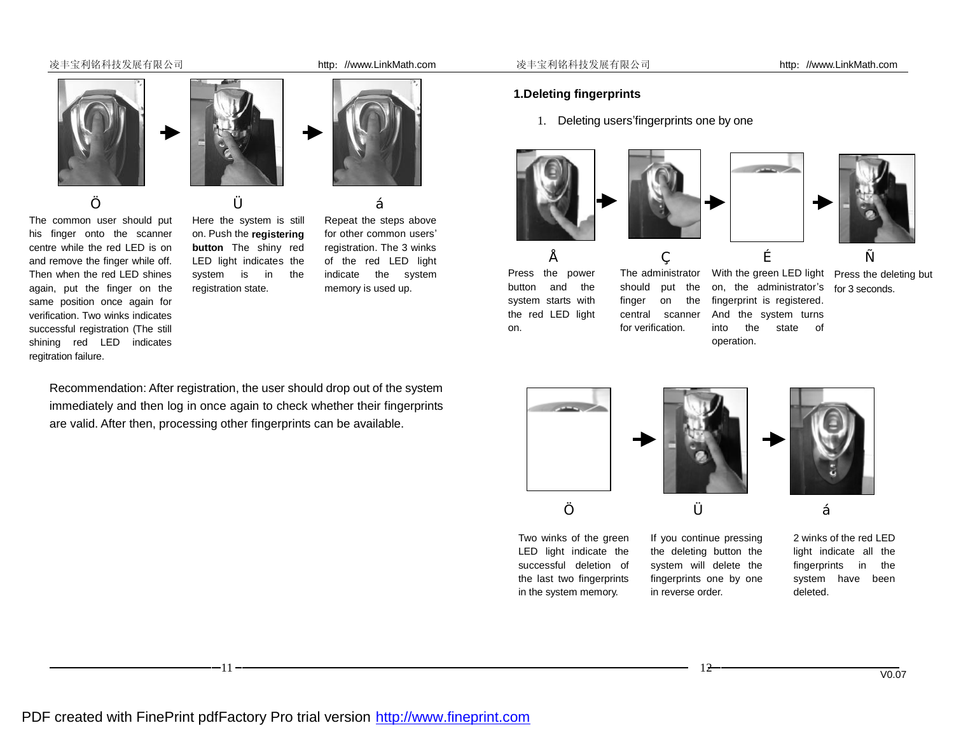#### 凌丰宝利铭科技发展有限公司 http://www.LinkMath.com 凌丰宝利铭科技发展有限公司 http://www.LinkMath.com

The common user should put his finger onto the scanner centre while the red LED is on and remove the finger while off. Then when the red LED shines again, put the finger on the same position once again for verification. Two winks indicates successful registration (The still shining red LED indicates

regitration failure.

l



… † ‡

Here the system is still on. Push the **registering button** The shiny red LED light indicates the system is in the registration state.

Repeat the steps above for other common users' registration. The 3 winks of the red LED light indicate the system memory is used up.

Recommendation: After registration, the user should drop out of the system immediately and then log in once again to check whether their fingerprints are valid. After then, processing other fingerprints can be available.

#### **1.Deleting fingerprints**

1. Deleting users'fingerprints one by one







•  $\qquad \qquad ,\qquad \qquad f\qquad \qquad _{''}$ Press the power button and the system starts with the red LED light on.

The administrator should put the finger on the central scanner for verification.

on, the administrator's for 3 seconds. fingerprint is registered. And the system turns into the state of operation.

With the green LED light Press the deleting but



Two winks of the green LED light indicate the successful deletion of the last two fingerprints in the system memory.

If you continue pressing the deleting button the system will delete the fingerprints one by one in reverse order.

2 winks of the red LED light indicate all the fingerprints in the system have been deleted.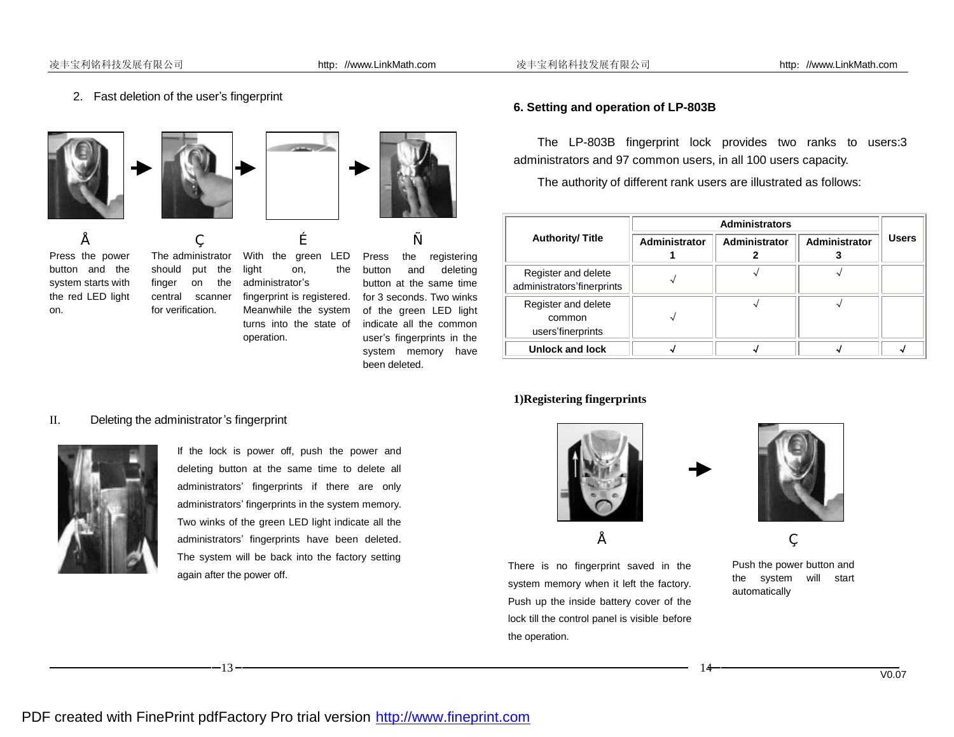2. Fast deletion of the user's fingerprint









Press the power button and the system starts with the red LED light on.

The administrator should put the finger on the central scanner for verification.

With the green LED light on, the administrator's fingerprint is registered. Meanwhile the system turns into the state of indicate all the common operation. •  $\qquad \qquad ,\qquad \qquad f\qquad \qquad \qquad _{''}$ 

Press the registering button and deleting button at the same time for 3 seconds. Two winks of the green LED light user's fingerprints in the system memory have been deleted.

#### **6. Setting and operation of LP-803B**

The LP-803B fingerprint lock provides two ranks to users:3 administrators and 97 common users, in all 100 users capacity.

The authority of different rank users are illustrated as follows:

|                                                    | <b>Administrators</b> |               |                      |              |
|----------------------------------------------------|-----------------------|---------------|----------------------|--------------|
| <b>Authority/Title</b>                             | <b>Administrator</b>  | Administrator | <b>Administrator</b> | <b>Users</b> |
| Register and delete<br>administrators'finerprints  |                       |               |                      |              |
| Register and delete<br>common<br>users'finerprints |                       |               |                      |              |
| Unlock and lock                                    |                       |               |                      |              |

#### **1)Registering fingerprints**



There is no fingerprint saved in the system memory when it left the factory. Push up the inside battery cover of the lock till the control panel is visible before the operation.



Push the power button and the system will start automatically

 $\bullet$   $\qquad \qquad$   $\qquad \qquad$ 

# II. Deleting the administrator's fingerprint



l

If the lock is power off, push the power and deleting button at the same time to delete all administrators' fingerprints if there are only administrators' fingerprints in the system memory. Two winks of the green LED light indicate all the administrators' fingerprints have been deleted. The system will be back into the factory setting again after the power off.

 $13$  –  $14$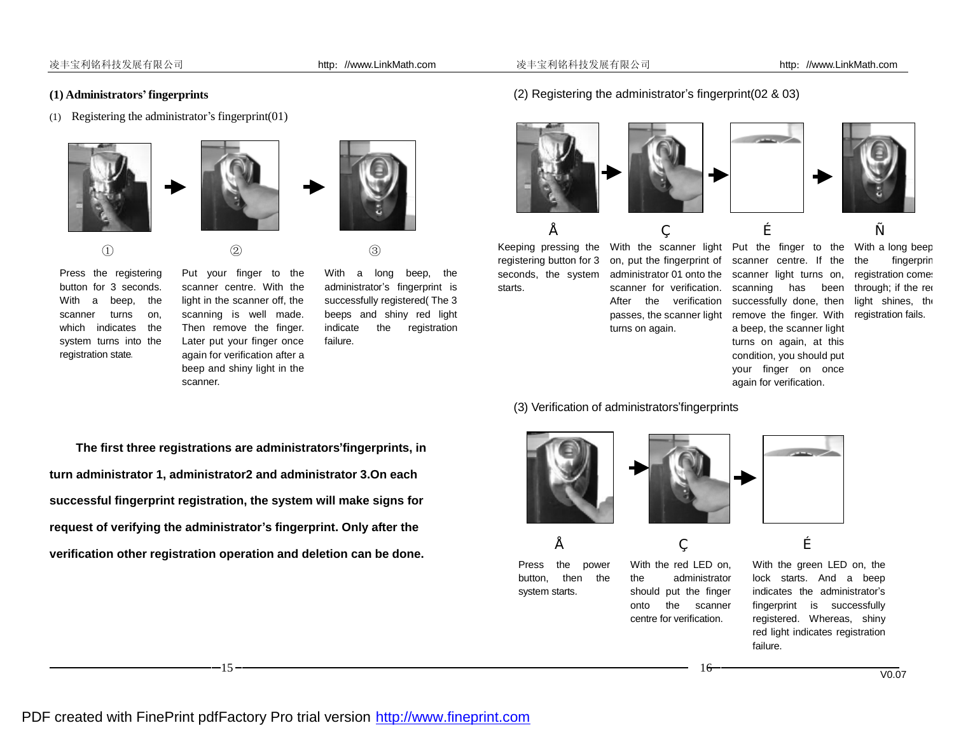#### **(1) Administrators' fingerprints**

(1) Registering the administrator's fingerprint(01)







Press the registering button for 3 seconds. With a beep, the scanner turns on, which indicates the system turns into the registration state.

l

Put your finger to the scanner centre. With the light in the scanner off, the scanning is well made. Then remove the finger. Later put your finger once again for verification after a beep and shiny light in the scanner.

 $\qquad \qquad \textcircled{1}\qquad \qquad \textcircled{2}$   $\qquad \qquad \textcircled{3}$ 



With a long beep, the administrator's fingerprint is successfully registered( The 3 beeps and shiny red light indicate the registration failure.

#### (2) Registering the administrator's fingerprint(02 & 03)











fingerprin registration comes through; if the red light shines, the registration fails.

Keeping pressing the registering button for 3 seconds, the system starts.

on, put the fingerprint of administrator 01 onto the scanner for verification. After the verification successfully done, then passes, the scanner light remove the finger. With turns on again.

With the scanner light Put the finger to the With a long beep scanner centre. If the the scanner light turns on, scanning has been a beep, the scanner light turns on again, at this condition, you should put your finger on once again for verification.

#### (3) Verification of administrators'fingerprints

Press the power button, then the system starts.



With the red LED on, the administrator should put the finger onto the scanner centre for verification.

•  $\qquad \qquad ,\qquad \qquad f$ 

With the green LED on, the lock starts. And a beep indicates the administrator's fingerprint is successfully registered. Whereas, shiny red light indicates registration failure.

16



V0.07

**The first three registrations are administrators'fingerprints, in turn administrator 1, administrator2 and administrator 3.On each successful fingerprint registration, the system will make signs for request of verifying the administrator's fingerprint. Only after the verification other registration operation and deletion can be done.**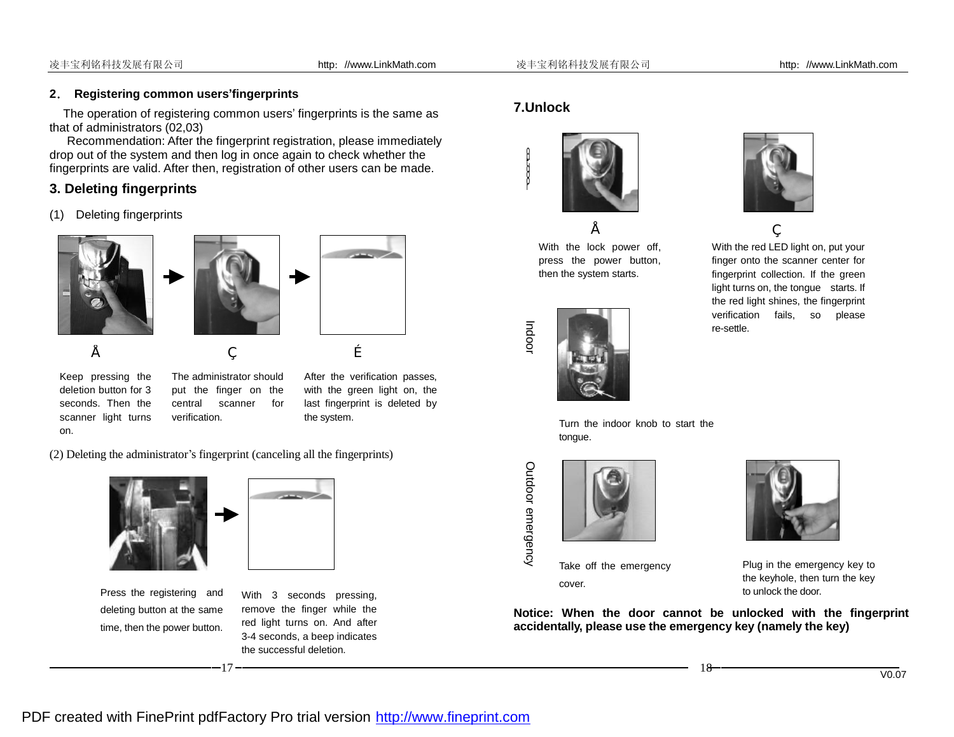### **2. Registering common users'fingerprints**

The operation of registering common users' fingerprints is the same as that of administrators (02,03)

Recommendation: After the fingerprint registration, please immediately drop out of the system and then log in once again to check whether the fingerprints are valid. After then, registration of other users can be made.

# **3. Deleting fingerprints**

(1) Deleting fingerprints







Keep pressing the deletion button for 3 seconds. Then the scanner light turns on.

l

The administrator should put the finger on the central scanner for verification.

•  $\qquad \qquad ,\qquad \qquad f$ 

After the verification passes, with the green light on, the last fingerprint is deleted by the system.

(2) Deleting the administrator's fingerprint (canceling all the fingerprints)



Press the registering and deleting button at the same time, then the power button.



With 3 seconds pressing, remove the finger while the red light turns on. And after 3-4 seconds, a beep indicates the successful deletion.

# **7.Unlock**

Ind o or

Outd o or e m

erg ency



With the lock power off, press the power button, then the system starts.





With the red LED light on, put your finger onto the scanner center for fingerprint collection. If the green light turns on, the tongue starts. If the red light shines, the fingerprint verification fails, so please re-settle.  $\bullet$   $\qquad \qquad$ 

Turn the indoor knob to start the tongue.



Take off the emergency cover.



Plug in the emergency key to the keyhole, then turn the key to unlock the door.

**Notice: When the door cannot be unlocked with the fingerprint accidentally, please use the emergency key (namely the key)** 

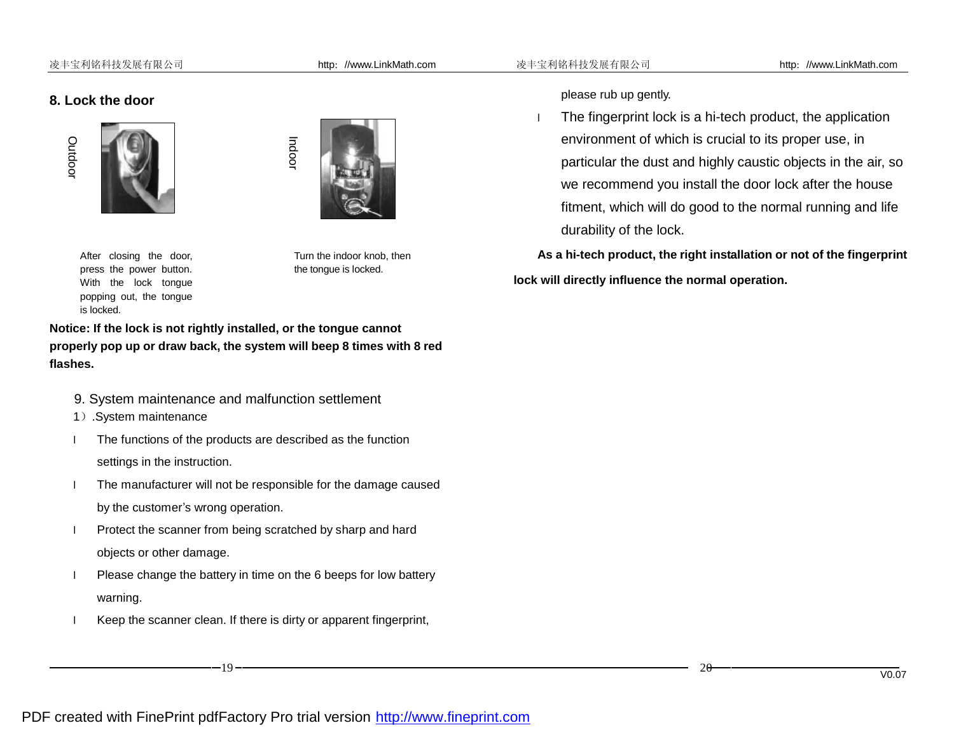#### **8. Lock the door**



l





After closing the door, press the power button. With the lock tongue popping out, the tongue is locked.

Turn the indoor knob, then the tongue is locked.

**Notice: If the lock is not rightly installed, or the tongue cannot properly pop up or draw back, the system will beep 8 times with 8 red flashes.** 

- 9. System maintenance and malfunction settlement
- 1).System maintenance

l The functions of the products are described as the function settings in the instruction.

- l The manufacturer will not be responsible for the damage caused by the customer's wrong operation.
- **I** Protect the scanner from being scratched by sharp and hard objects or other damage.
- l Please change the battery in time on the 6 beeps for low battery warning.
- l Keep the scanner clean. If there is dirty or apparent fingerprint,

please rub up gently.

l The fingerprint lock is a hi-tech product, the application environment of which is crucial to its proper use, in particular the dust and highly caustic objects in the air, so we recommend you install the door lock after the house fitment, which will do good to the normal running and life durability of the lock.

**As a hi-tech product, the right installation or not of the fingerprint lock will directly influence the normal operation.**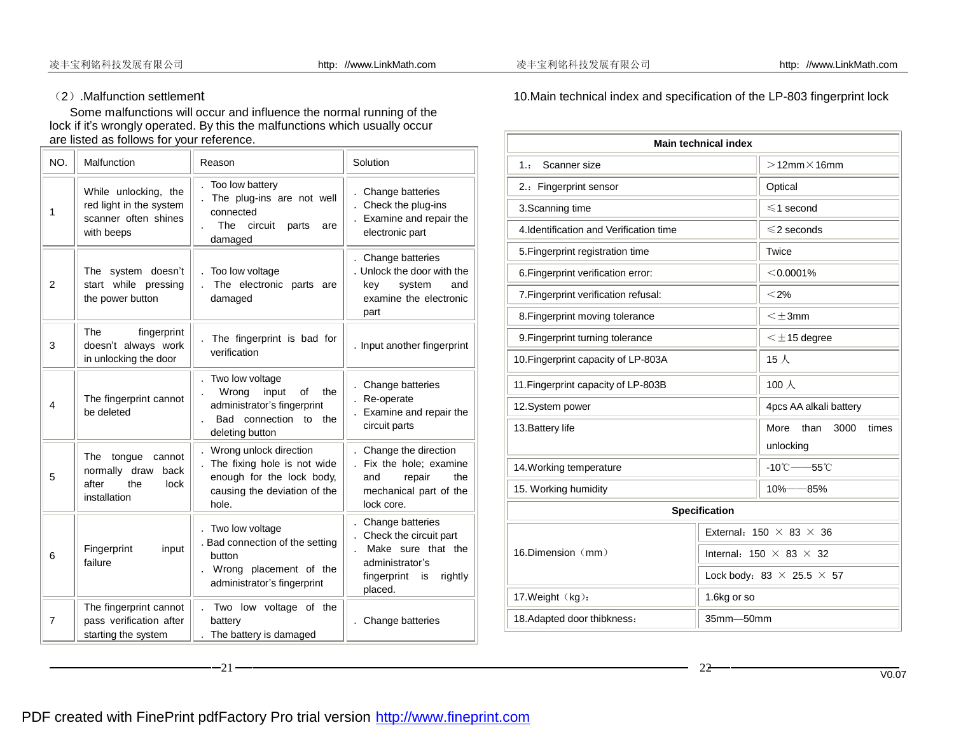l

## (2).Malfunction settlement

 Some malfunctions will occur and influence the normal running of the lock if it's wrongly operated. By this the malfunctions which usually occur are listed as follows for your reference.

| NO.            | Malfunction                                                                              | Reason                                                                                                                          | Solution                                                                                                                       |
|----------------|------------------------------------------------------------------------------------------|---------------------------------------------------------------------------------------------------------------------------------|--------------------------------------------------------------------------------------------------------------------------------|
| 1              | While unlocking, the<br>red light in the system<br>scanner often shines<br>with beeps    | Too low battery<br>The plug-ins are not well<br>connected<br>The<br>circuit<br>parts<br>are<br>damaged                          | Change batteries<br>Check the plug-ins<br>Examine and repair the<br>electronic part                                            |
| $\overline{2}$ | The system doesn't<br>start while pressing<br>the power button                           | Too low voltage<br>The electronic parts are<br>damaged                                                                          | Change batteries<br>. Unlock the door with the<br>key<br>system<br>and<br>examine the electronic<br>part                       |
| 3              | <b>The</b><br>fingerprint<br>doesn't always work<br>in unlocking the door                | The fingerprint is bad for<br>verification                                                                                      | . Input another fingerprint                                                                                                    |
| 4              | The fingerprint cannot<br>be deleted                                                     | Two low voltage<br>Wrong<br>of<br>the<br>input<br>administrator's fingerprint<br>connection to<br>Bad<br>the<br>deleting button | Change batteries<br>Re-operate<br>Examine and repair the<br>circuit parts                                                      |
| 5              | The<br>tongue<br>cannot<br>normally draw<br>back<br>after<br>the<br>lock<br>installation | Wrong unlock direction<br>The fixing hole is not wide<br>enough for the lock body,<br>causing the deviation of the<br>hole.     | Change the direction<br>Fix the hole: examine<br>repair<br>the<br>and<br>mechanical part of the<br>lock core.                  |
| 6              | Fingerprint<br>input<br>failure                                                          | Two low voltage<br>. Bad connection of the setting<br>button<br>Wrong placement of the<br>administrator's fingerprint           | Change batteries<br>Check the circuit part<br>Make sure that the<br>administrator's<br>fingerprint<br>rightly<br>is<br>placed. |
| $\overline{7}$ | The fingerprint cannot<br>pass verification after<br>starting the system                 | Two low voltage of the<br>battery<br>The battery is damaged                                                                     | Change batteries                                                                                                               |

10.Main technical index and specification of the LP-803 fingerprint lock

| <b>Main technical index</b>                                   |                                     |                                         |  |  |
|---------------------------------------------------------------|-------------------------------------|-----------------------------------------|--|--|
| Scanner size<br>1.1                                           |                                     | $>12$ mm $\times$ 16mm                  |  |  |
| 2.: Fingerprint sensor                                        | Optical                             |                                         |  |  |
| 3. Scanning time                                              |                                     | $\leqslant$ 1 second                    |  |  |
| 4. Identification and Verification time                       |                                     | $\leq$ 2 seconds                        |  |  |
| 5. Fingerprint registration time                              |                                     | Twice                                   |  |  |
| 6. Fingerprint verification error:                            |                                     | $<$ 0.0001%                             |  |  |
| 7. Fingerprint verification refusal:                          |                                     | $<$ 2%                                  |  |  |
| 8. Fingerprint moving tolerance                               |                                     | $\leq \pm 3$ mm                         |  |  |
| 9. Fingerprint turning tolerance                              |                                     | $\leq \pm$ 15 degree                    |  |  |
| 10. Fingerprint capacity of LP-803A                           |                                     | $15$ 人                                  |  |  |
| 11. Fingerprint capacity of LP-803B                           |                                     | 100人                                    |  |  |
| 12.System power                                               |                                     | 4pcs AA alkali battery                  |  |  |
| 13. Battery life                                              |                                     | More<br>than<br>3000<br>times           |  |  |
|                                                               |                                     | unlocking                               |  |  |
| $-10^{\circ}$ C ---55 $^{\circ}$ C<br>14. Working temperature |                                     |                                         |  |  |
| 15. Working humidity                                          |                                     | $10\% - 85\%$                           |  |  |
| <b>Specification</b>                                          |                                     |                                         |  |  |
|                                                               | External: $150 \times 83 \times 36$ |                                         |  |  |
| 16.Dimension (mm)                                             |                                     | Internal: $150 \times 83 \times 32$     |  |  |
|                                                               |                                     | Lock body: 83 $\times$ 25.5 $\times$ 57 |  |  |
| 17. Weight (kg):                                              | 1.6kg or so                         |                                         |  |  |
| 18. Adapted door thibkness:                                   | 35mm-50mm                           |                                         |  |  |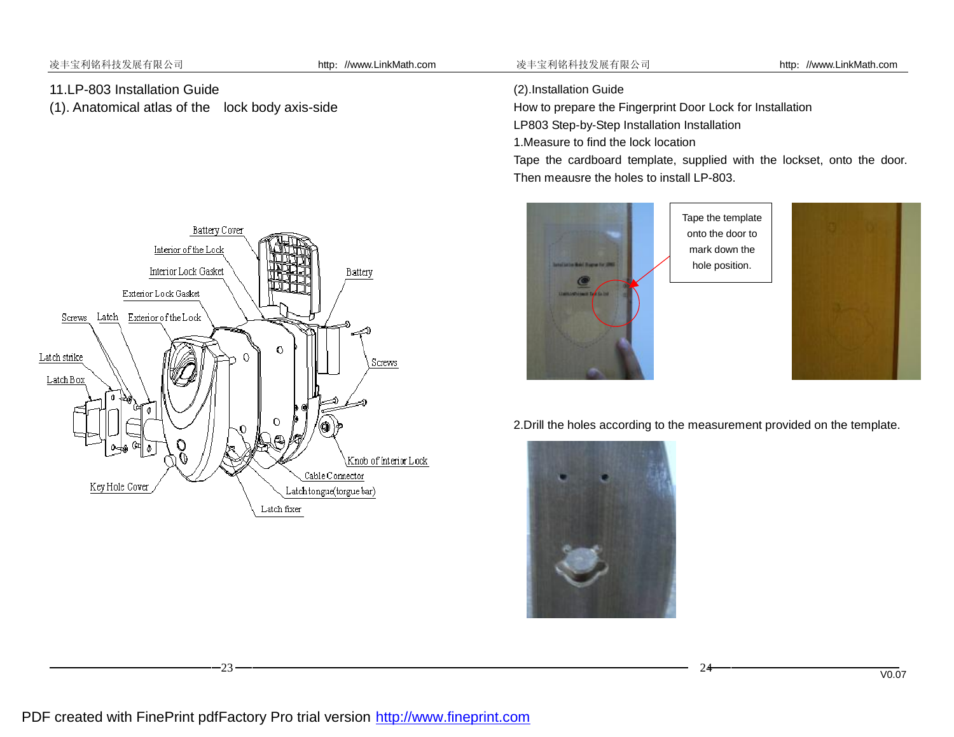l

# 11.LP-803 Installation Guide

(1). Anatomical atlas of the lock body axis-side

(2).Installation Guide

How to prepare the Fingerprint Door Lock for Installation

LP803 Step-by-Step Installation Installation

1.Measure to find the lock location

Tape the cardboard template, supplied with the lockset, onto the door. Then meausre the holes to install LP-803.



2.Drill the holes according to the measurement provided on the template.



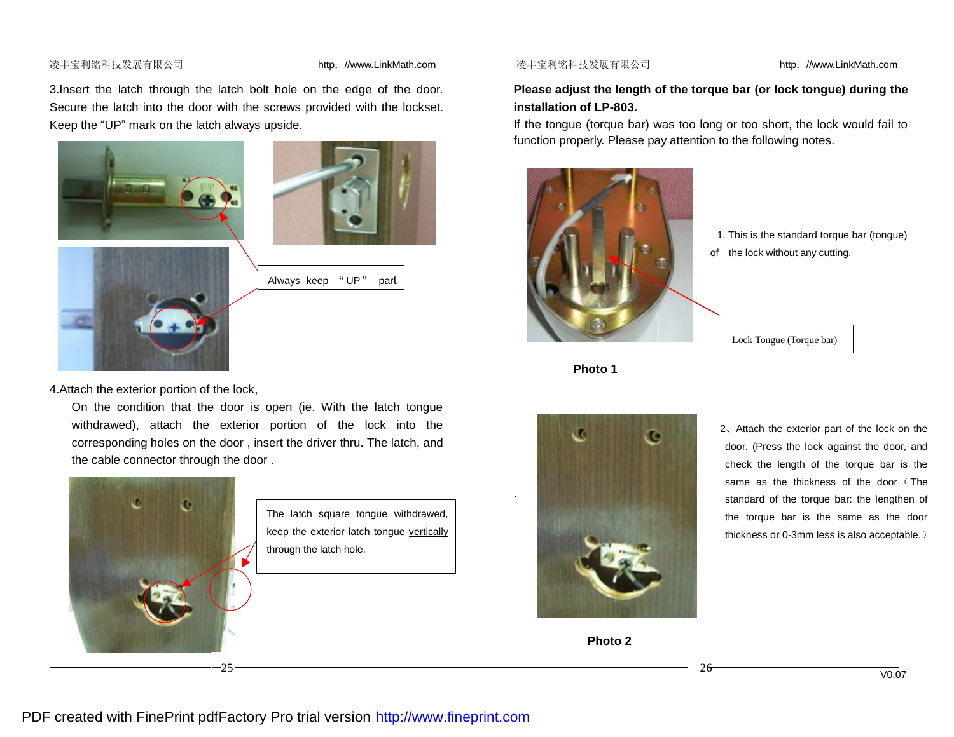#### 凌丰宝利铭科技发展有限公司 http://www.LinkMath.com 凌丰宝利铭科技发展有限公司 http://www.LinkMath.com

3.Insert the latch through the latch bolt hole on the edge of the door. Secure the latch into the door with the screws provided with the lockset. Keep the "UP" mark on the latch always upside.





Always keep "UP" part

4.Attach the exterior portion of the lock,

On the condition that the door is open (ie. With the latch tongue withdrawed), attach the exterior portion of the lock into the corresponding holes on the door , insert the driver thru. The latch, and the cable connector through the door .



l



### **Please adjust the length of the torque bar (or lock tongue) during the installation of LP-803.**

If the tongue (torque bar) was too long or too short, the lock would fail to function properly. Please pay attention to the following notes.



- 1. This is the standard torque bar (tongue)
- of the lock without any cutting.

Lock Tongue (Torque bar)

**Photo 1**





same as the thickness of the door (The 2、Attach the exterior part of the lock on the door. (Press the lock against the door, and check the length of the torque bar is the standard of the torque bar: the lengthen of the torque bar is the same as the door thickness or 0-3mm less is also acceptable.)

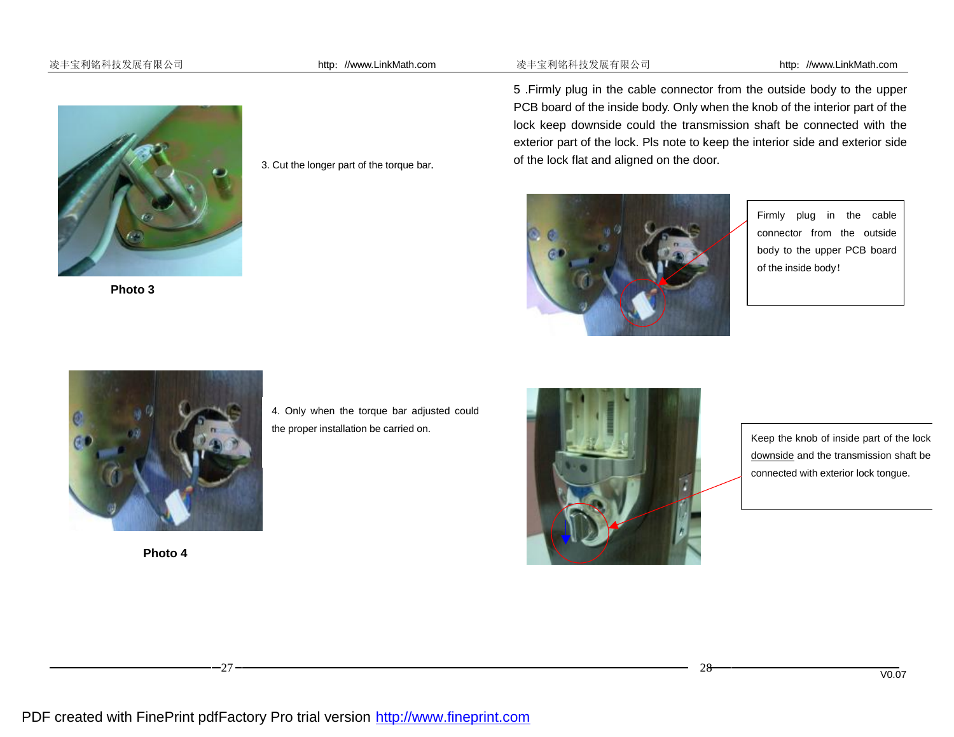#### 凌丰宝利铭科技发展有限公司 http://www.LinkMath.com 凌丰宝利铭科技发展有限公司 http://www.LinkMath.com



**Photo 3** 

3. Cut the longer part of the torque bar.

5 .Firmly plug in the cable connector from the outside body to the upper PCB board of the inside body. Only when the knob of the interior part of the lock keep downside could the transmission shaft be connected with the exterior part of the lock. Pls note to keep the interior side and exterior side of the lock flat and aligned on the door.



Firmly plug in the cable connector from the outside body to the upper PCB board of the inside body!



**Photo 4**

l

4. Only when the torque bar adjusted could the proper installation be carried on.



Keep the knob of inside part of the lock downside and the transmission shaft be connected with exterior lock tongue.